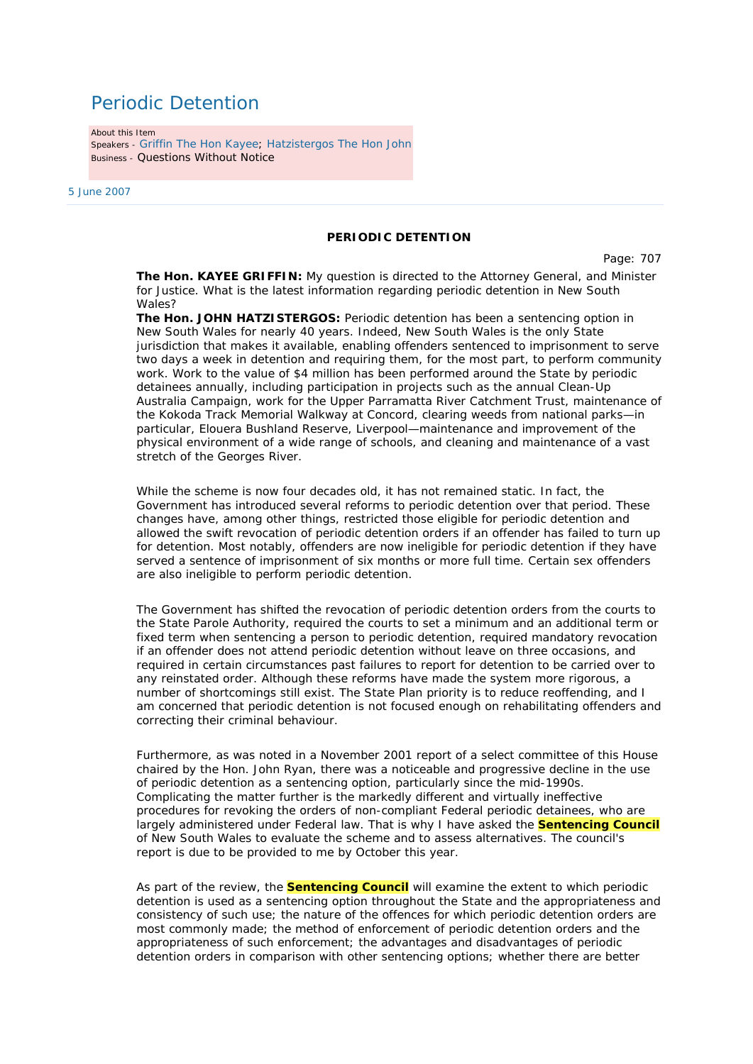## Periodic Detention

About this Item Speakers - Griffin The Hon Kayee; Hatzistergos The Hon John Business - Questions Without Notice

5 June 2007

## **PERIODIC DETENTION**

Page: 707

**The Hon. KAYEE GRIFFIN:** My question is directed to the Attorney General, and Minister for Justice. What is the latest information regarding periodic detention in New South  $M$ ales?

**The Hon. JOHN HATZISTERGOS:** Periodic detention has been a sentencing option in New South Wales for nearly 40 years. Indeed, New South Wales is the only State jurisdiction that makes it available, enabling offenders sentenced to imprisonment to serve two days a week in detention and requiring them, for the most part, to perform community work. Work to the value of \$4 million has been performed around the State by periodic detainees annually, including participation in projects such as the annual Clean-Up Australia Campaign, work for the Upper Parramatta River Catchment Trust, maintenance of the Kokoda Track Memorial Walkway at Concord, clearing weeds from national parks—in particular, Elouera Bushland Reserve, Liverpool—maintenance and improvement of the physical environment of a wide range of schools, and cleaning and maintenance of a vast stretch of the Georges River.

While the scheme is now four decades old, it has not remained static. In fact, the Government has introduced several reforms to periodic detention over that period. These changes have, among other things, restricted those eligible for periodic detention and allowed the swift revocation of periodic detention orders if an offender has failed to turn up for detention. Most notably, offenders are now ineligible for periodic detention if they have served a sentence of imprisonment of six months or more full time. Certain sex offenders are also ineligible to perform periodic detention.

The Government has shifted the revocation of periodic detention orders from the courts to the State Parole Authority, required the courts to set a minimum and an additional term or fixed term when sentencing a person to periodic detention, required mandatory revocation if an offender does not attend periodic detention without leave on three occasions, and required in certain circumstances past failures to report for detention to be carried over to any reinstated order. Although these reforms have made the system more rigorous, a number of shortcomings still exist. The State Plan priority is to reduce reoffending, and I am concerned that periodic detention is not focused enough on rehabilitating offenders and correcting their criminal behaviour.

Furthermore, as was noted in a November 2001 report of a select committee of this House chaired by the Hon. John Ryan, there was a noticeable and progressive decline in the use of periodic detention as a sentencing option, particularly since the mid-1990s. Complicating the matter further is the markedly different and virtually ineffective procedures for revoking the orders of non-compliant Federal periodic detainees, who are largely administered under Federal law. That is why I have asked the **Sentencing Council** of New South Wales to evaluate the scheme and to assess alternatives. The council's report is due to be provided to me by October this year.

As part of the review, the **Sentencing Council** will examine the extent to which periodic detention is used as a sentencing option throughout the State and the appropriateness and consistency of such use; the nature of the offences for which periodic detention orders are most commonly made; the method of enforcement of periodic detention orders and the appropriateness of such enforcement; the advantages and disadvantages of periodic detention orders in comparison with other sentencing options; whether there are better